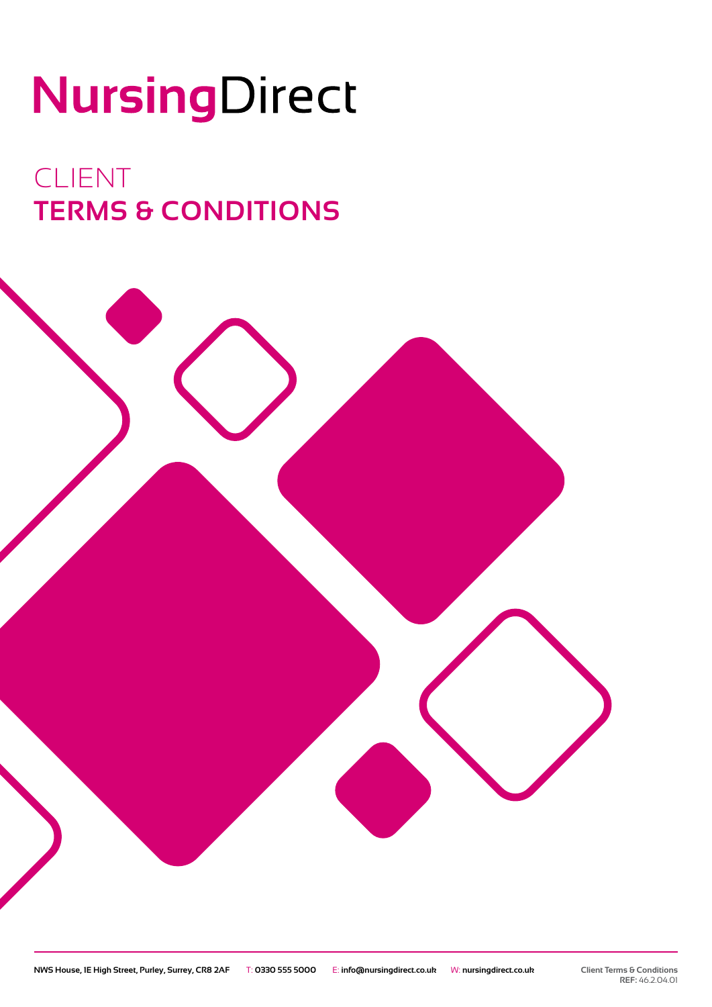# NursingDirect

# CLIENT **TERMS & CONDITIONS**

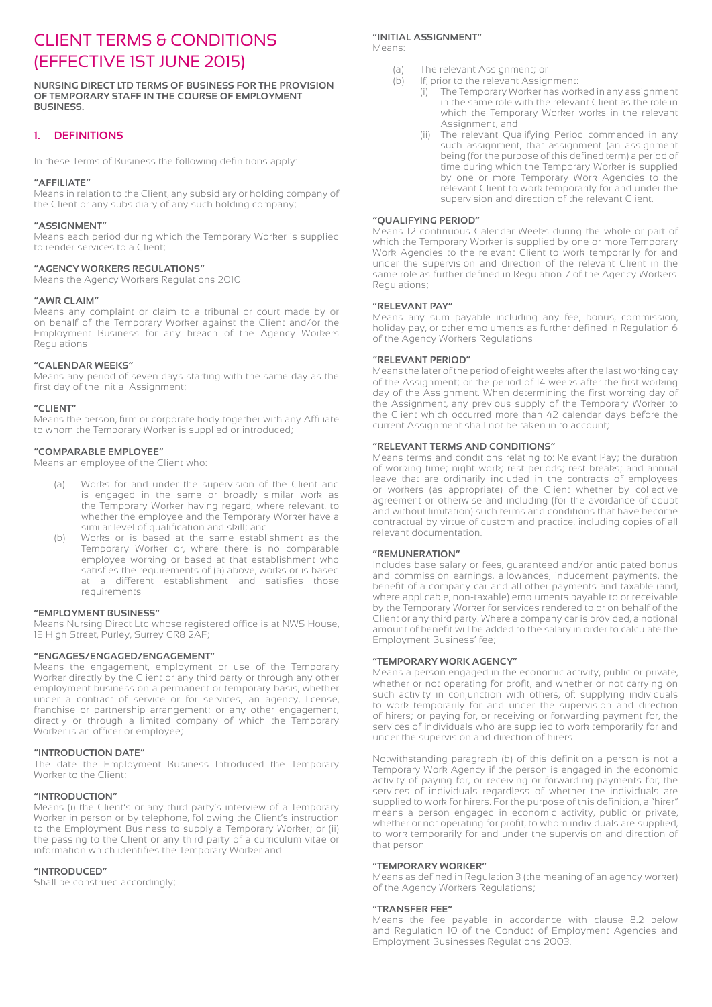# CLIENT TERMS & CONDITIONS (EFFECTIVE 1ST JUNE 2015)

**NURSING DIRECT LTD TERMS OF BUSINESS FOR THE PROVISION OF TEMPORARY STAFF IN THE COURSE OF EMPLOYMENT BUSINESS.**

# **1. DEFINITIONS**

In these Terms of Business the following definitions apply:

#### **"AFFILIATE"**

Means in relation to the Client, any subsidiary or holding company of the Client or any subsidiary of any such holding company;

#### **"ASSIGNMENT"**

Means each period during which the Temporary Worker is supplied to render services to a Client;

#### **"AGENCY WORKERS REGULATIONS"**

Means the Agency Workers Regulations 2010

#### **"AWR CLAIM"**

Means any complaint or claim to a tribunal or court made by or on behalf of the Temporary Worker against the Client and/or the Employment Business for any breach of the Agency Workers Regulations

#### **"CALENDAR WEEKS"**

Means any period of seven days starting with the same day as the first day of the Initial Assignment;

#### **"CLIENT"**

Means the person, firm or corporate body together with any Affiliate to whom the Temporary Worker is supplied or introduced;

#### **"COMPARABLE EMPLOYEE"**

Means an employee of the Client who:

- (a) Works for and under the supervision of the Client and is engaged in the same or broadly similar work as the Temporary Worker having regard, where relevant, to whether the employee and the Temporary Worker have a similar level of qualification and skill; and
- (b) Works or is based at the same establishment as the Temporary Worker or, where there is no comparable employee working or based at that establishment who satisfies the requirements of (a) above, works or is based at a different establishment and satisfies those requirements

#### **"EMPLOYMENT BUSINESS"**

Means Nursing Direct Ltd whose registered office is at NWS House, 1E High Street, Purley, Surrey CR8 2AF;

#### **"ENGAGES/ENGAGED/ENGAGEMENT"**

Means the engagement, employment or use of the Temporary Worker directly by the Client or any third party or through any other employment business on a permanent or temporary basis, whether under a contract of service or for services; an agency, license, franchise or partnership arrangement; or any other engagement; directly or through a limited company of which the Temporary Worker is an officer or employee;

#### **"INTRODUCTION DATE"**

The date the Employment Business Introduced the Temporary Worker to the Client;

#### **"INTRODUCTION"**

Means (i) the Client's or any third party's interview of a Temporary Worker in person or by telephone, following the Client's instruction to the Employment Business to supply a Temporary Worker; or (ii) the passing to the Client or any third party of a curriculum vitae or information which identifies the Temporary Worker and

#### **"INTRODUCED"**

Shall be construed accordingly;

# **"INITIAL ASSIGNMENT"**

Means:

- (a) The relevant Assignment; or
- (b) If, prior to the relevant Assignment:
	- (i) The Temporary Worker has worked in any assignment in the same role with the relevant Client as the role in which the Temporary Worker works in the relevant Assignment; and
	- (ii) The relevant Qualifying Period commenced in any such assignment, that assignment (an assignment being (for the purpose of this defined term) a period of time during which the Temporary Worker is supplied by one or more Temporary Work Agencies to the relevant Client to work temporarily for and under the supervision and direction of the relevant Client.

#### **"QUALIFYING PERIOD"**

Means 12 continuous Calendar Weeks during the whole or part of which the Temporary Worker is supplied by one or more Temporary Work Agencies to the relevant Client to work temporarily for and under the supervision and direction of the relevant Client in the same role as further defined in Regulation 7 of the Agency Workers Regulations;

#### **"RELEVANT PAY"**

Means any sum payable including any fee, bonus, commission, holiday pay, or other emoluments as further defined in Regulation 6 of the Agency Workers Regulations

# **"RELEVANT PERIOD"**

Means the later of the period of eight weeks after the last working day of the Assignment; or the period of 14 weeks after the first working day of the Assignment. When determining the first working day of the Assignment, any previous supply of the Temporary Worker to the Client which occurred more than 42 calendar days before the current Assignment shall not be taken in to account;

#### **"RELEVANT TERMS AND CONDITIONS"**

Means terms and conditions relating to: Relevant Pay; the duration of working time; night work; rest periods; rest breaks; and annual leave that are ordinarily included in the contracts of employees or workers (as appropriate) of the Client whether by collective agreement or otherwise and including (for the avoidance of doubt and without limitation) such terms and conditions that have become contractual by virtue of custom and practice, including copies of all relevant documentation.

#### **"REMUNERATION"**

Includes base salary or fees, guaranteed and/or anticipated bonus and commission earnings, allowances, inducement payments, the benefit of a company car and all other payments and taxable (and, where applicable, non-taxable) emoluments payable to or receivable by the Temporary Worker for services rendered to or on behalf of the Client or any third party. Where a company car is provided, a notional amount of benefit will be added to the salary in order to calculate the Employment Business' fee;

#### **"TEMPORARY WORK AGENCY"**

Means a person engaged in the economic activity, public or private, whether or not operating for profit, and whether or not carrying on such activity in conjunction with others, of: supplying individuals to work temporarily for and under the supervision and direction of hirers; or paying for, or receiving or forwarding payment for, the services of individuals who are supplied to work temporarily for and under the supervision and direction of hirers.

Notwithstanding paragraph (b) of this definition a person is not a Temporary Work Agency if the person is engaged in the economic activity of paying for, or receiving or forwarding payments for, the services of individuals regardless of whether the individuals are supplied to work for hirers. For the purpose of this definition, a "hirer" means a person engaged in economic activity, public or private, whether or not operating for profit, to whom individuals are supplied, to work temporarily for and under the supervision and direction of that person

#### **"TEMPORARY WORKER"**

Means as defined in Regulation 3 (the meaning of an agency worker) of the Agency Workers Regulations;

#### **"TRANSFER FEE"**

Means the fee payable in accordance with clause 8.2 below and Regulation 10 of the Conduct of Employment Agencies and Employment Businesses Regulations 2003.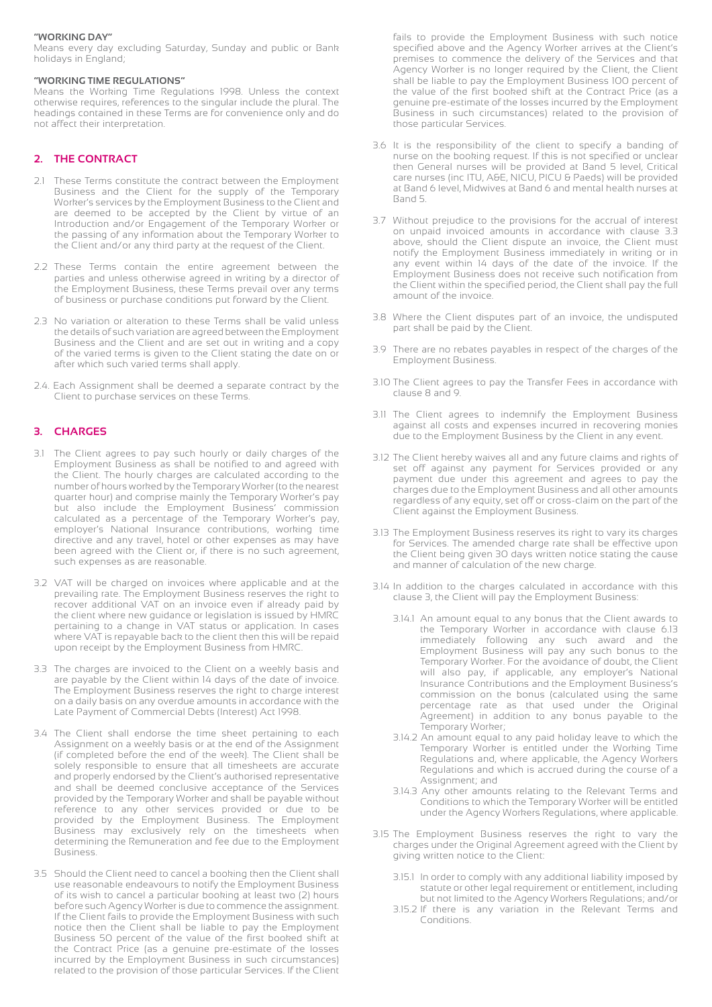#### **"WORKING DAY"**

Means every day excluding Saturday, Sunday and public or Bank holidays in England;

#### **"WORKING TIME REGULATIONS"**

Means the Working Time Regulations 1998. Unless the context otherwise requires, references to the singular include the plural. The headings contained in these Terms are for convenience only and do not affect their interpretation.

# **2. THE CONTRACT**

- 2.1 These Terms constitute the contract between the Employment Business and the Client for the supply of the Temporary Worker's services by the Employment Business to the Client and are deemed to be accepted by the Client by virtue of an Introduction and/or Engagement of the Temporary Worker or the passing of any information about the Temporary Worker to the Client and/or any third party at the request of the Client.
- 2.2 These Terms contain the entire agreement between the parties and unless otherwise agreed in writing by a director of the Employment Business, these Terms prevail over any terms of business or purchase conditions put forward by the Client.
- 2.3 No variation or alteration to these Terms shall be valid unless the details of such variation are agreed between the Employment Business and the Client and are set out in writing and a copy of the varied terms is given to the Client stating the date on or after which such varied terms shall apply.
- 2.4. Each Assignment shall be deemed a separate contract by the Client to purchase services on these Terms.

# **3. CHARGES**

- 3.1 The Client agrees to pay such hourly or daily charges of the Employment Business as shall be notified to and agreed with the Client. The hourly charges are calculated according to the number of hours worked by the Temporary Worker (to the nearest quarter hour) and comprise mainly the Temporary Worker's pay but also include the Employment Business' commission calculated as a percentage of the Temporary Worker's pay, employer's National Insurance contributions, working time directive and any travel, hotel or other expenses as may have been agreed with the Client or, if there is no such agreement, such expenses as are reasonable.
- 3.2 VAT will be charged on invoices where applicable and at the prevailing rate. The Employment Business reserves the right to recover additional VAT on an invoice even if already paid by the client where new guidance or legislation is issued by HMRC pertaining to a change in VAT status or application. In cases where VAT is repayable back to the client then this will be repaid upon receipt by the Employment Business from HMRC.
- 3.3 The charges are invoiced to the Client on a weekly basis and are payable by the Client within 14 days of the date of invoice. The Employment Business reserves the right to charge interest on a daily basis on any overdue amounts in accordance with the Late Payment of Commercial Debts (Interest) Act 1998.
- 3.4 The Client shall endorse the time sheet pertaining to each Assignment on a weekly basis or at the end of the Assignment (if completed before the end of the week). The Client shall be solely responsible to ensure that all timesheets are accurate and properly endorsed by the Client's authorised representative and shall be deemed conclusive acceptance of the Services provided by the Temporary Worker and shall be payable without reference to any other services provided or due to be provided by the Employment Business. The Employment Business may exclusively rely on the timesheets when determining the Remuneration and fee due to the Employment Business.
- 3.5 Should the Client need to cancel a booking then the Client shall use reasonable endeavours to notify the Employment Business of its wish to cancel a particular booking at least two (2) hours before such Agency Worker is due to commence the assignment. If the Client fails to provide the Employment Business with such notice then the Client shall be liable to pay the Employment Business 50 percent of the value of the first booked shift at the Contract Price (as a genuine pre-estimate of the losses incurred by the Employment Business in such circumstances) related to the provision of those particular Services. If the Client

 fails to provide the Employment Business with such notice specified above and the Agency Worker arrives at the Client's premises to commence the delivery of the Services and that Agency Worker is no longer required by the Client, the Client shall be liable to pay the Employment Business 100 percent of the value of the first booked shift at the Contract Price (as a genuine pre-estimate of the losses incurred by the Employment Business in such circumstances) related to the provision of those particular Services.

- 3.6 It is the responsibility of the client to specify a banding of nurse on the booking request. If this is not specified or unclear then General nurses will be provided at Band 5 level, Critical care nurses (inc ITU, A&E, NICU, PICU & Paeds) will be provided at Band 6 level, Midwives at Band 6 and mental health nurses at Band 5.
- 3.7 Without prejudice to the provisions for the accrual of interest on unpaid invoiced amounts in accordance with clause 3.3 above, should the Client dispute an invoice, the Client must notify the Employment Business immediately in writing or in any event within 14 days of the date of the invoice. If the Employment Business does not receive such notification from the Client within the specified period, the Client shall pay the full amount of the invoice.
- 3.8 Where the Client disputes part of an invoice, the undisputed part shall be paid by the Client.
- 3.9 There are no rebates payables in respect of the charges of the Employment Business.
- 3.10 The Client agrees to pay the Transfer Fees in accordance with clause 8 and 9.
- 3.11 The Client agrees to indemnify the Employment Business against all costs and expenses incurred in recovering monies due to the Employment Business by the Client in any event.
- 3.12 The Client hereby waives all and any future claims and rights of set off against any payment for Services provided or any payment due under this agreement and agrees to pay the charges due to the Employment Business and all other amounts regardless of any equity, set off or cross-claim on the part of the Client against the Employment Business.
- 3.13 The Employment Business reserves its right to vary its charges for Services. The amended charge rate shall be effective upon the Client being given 30 days written notice stating the cause and manner of calculation of the new charge.
- 3.14 In addition to the charges calculated in accordance with this clause 3, the Client will pay the Employment Business:
	- 3.14.1 An amount equal to any bonus that the Client awards to the Temporary Worker in accordance with clause 6.13 immediately following any such award and the Employment Business will pay any such bonus to the Temporary Worker. For the avoidance of doubt, the Client will also pay, if applicable, any employer's National Insurance Contributions and the Employment Business's commission on the bonus (calculated using the same percentage rate as that used under the Original Agreement) in addition to any bonus payable to the Temporary Worker;
	- 3.14.2 An amount equal to any paid holiday leave to which the Temporary Worker is entitled under the Working Time Regulations and, where applicable, the Agency Workers Regulations and which is accrued during the course of a Assignment; and
	- 3.14.3 Any other amounts relating to the Relevant Terms and Conditions to which the Temporary Worker will be entitled under the Agency Workers Regulations, where applicable.
- 3.15 The Employment Business reserves the right to vary the charges under the Original Agreement agreed with the Client by giving written notice to the Client:
	- 3.15.1 In order to comply with any additional liability imposed by statute or other legal requirement or entitlement, including but not limited to the Agency Workers Regulations; and/or
	- 3.15.2 If there is any variation in the Relevant Terms and Conditions.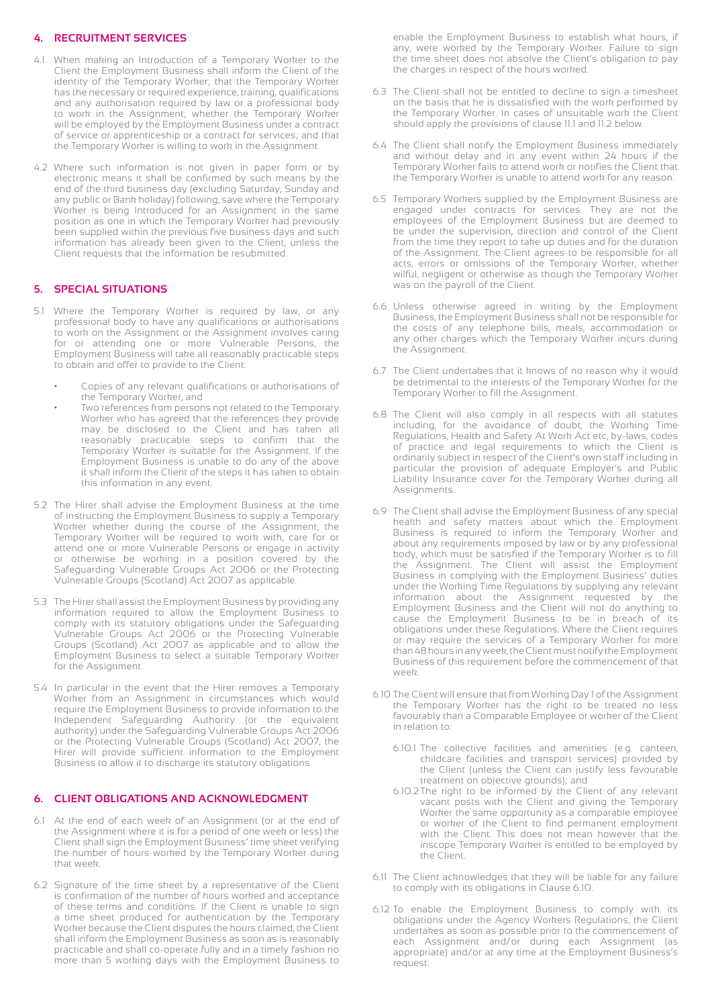# **4. RECRUITMENT SERVICES**

- 4.1 When making an Introduction of a Temporary Worker to the Client the Employment Business shall inform the Client of the identity of the Temporary Worker; that the Temporary Worker has the necessary or required experience, training, qualifications and any authorisation required by law or a professional body to work in the Assignment; whether the Temporary Worker will be employed by the Employment Business under a contract of service or apprenticeship or a contract for services; and that the Temporary Worker is willing to work in the Assignment.
- 4.2 Where such information is not given in paper form or by electronic means it shall be confirmed by such means by the end of the third business day (excluding Saturday, Sunday and any public or Bank holiday) following, save where the Temporary Worker is being Introduced for an Assignment in the same position as one in which the Temporary Worker had previously been supplied within the previous five business days and such information has already been given to the Client, unless the Client requests that the information be resubmitted.

# **5. SPECIAL SITUATIONS**

- 5.1 Where the Temporary Worker is required by law, or any professional body to have any qualifications or authorisations to work on the Assignment or the Assignment involves caring for or attending one or more Vulnerable Persons, the Employment Business will take all reasonably practicable steps to obtain and offer to provide to the Client:
	- Copies of any relevant qualifications or authorisations of the Temporary Worker, and
	- Two references from persons not related to the Temporary Worker who has agreed that the references they provide may be disclosed to the Client and has taken all reasonably practicable steps to confirm that the Temporary Worker is suitable for the Assignment. If the Employment Business is unable to do any of the above it shall inform the Client of the steps it has taken to obtain this information in any event.
- 5.2 The Hirer shall advise the Employment Business at the time of instructing the Employment Business to supply a Temporary Worker whether during the course of the Assignment, the Temporary Worker will be required to work with, care for or attend one or more Vulnerable Persons or engage in activity or otherwise be working in a position covered by the Safeguarding Vulnerable Groups Act 2006 or the Protecting Vulnerable Groups (Scotland) Act 2007 as applicable.
- 5.3 The Hirer shall assist the Employment Business by providing any information required to allow the Employment Business to comply with its statutory obligations under the Safeguarding Vulnerable Groups Act 2006 or the Protecting Vulnerable Groups (Scotland) Act 2007 as applicable and to allow the Employment Business to select a suitable Temporary Worker for the Assignment.
- 5.4 In particular in the event that the Hirer removes a Temporary Worker from an Assignment in circumstances which would require the Employment Business to provide information to the Independent Safeguarding Authority (or the equivalent authority) under the Safeguarding Vulnerable Groups Act 2006 or the Protecting Vulnerable Groups (Scotland) Act 2007, the Hirer will provide sufficient information to the Employment Business to allow it to discharge its statutory obligations.

#### **6. CLIENT OBLIGATIONS AND ACKNOWLEDGMENT**

- 6.1 At the end of each week of an Assignment (or at the end of the Assignment where it is for a period of one week or less) the Client shall sign the Employment Business' time sheet verifying the number of hours worked by the Temporary Worker during that week.
- 6.2 Signature of the time sheet by a representative of the Client is confirmation of the number of hours worked and acceptance of these terms and conditions. If the Client is unable to sign a time sheet produced for authentication by the Temporary Worker because the Client disputes the hours claimed, the Client shall inform the Employment Business as soon as is reasonably practicable and shall co-operate fully and in a timely fashion no more than 5 working days with the Employment Business to

 enable the Employment Business to establish what hours, if any, were worked by the Temporary Worker. Failure to sign the time sheet does not absolve the Client's obligation to pay the charges in respect of the hours worked.

- 6.3 The Client shall not be entitled to decline to sign a timesheet on the basis that he is dissatisfied with the work performed by the Temporary Worker. In cases of unsuitable work the Client should apply the provisions of clause 11.1 and 11.2 below.
- 6.4 The Client shall notify the Employment Business immediately and without delay and in any event within 24 hours if the Temporary Worker fails to attend work or notifies the Client that the Temporary Worker is unable to attend work for any reason.
- 6.5 Temporary Workers supplied by the Employment Business are engaged under contracts for services. They are not the employees of the Employment Business but are deemed to be under the supervision, direction and control of the Client from the time they report to take up duties and for the duration of the Assignment. The Client agrees to be responsible for all acts, errors or omissions of the Temporary Worker, whether wilful, negligent or otherwise as though the Temporary Worker was on the payroll of the Client.
- 6.6 Unless otherwise agreed in writing by the Employment Business, the Employment Business shall not be responsible for the costs of any telephone bills, meals, accommodation or any other charges which the Temporary Worker incurs during the Assignment.
- 6.7 The Client undertakes that it knows of no reason why it would be detrimental to the interests of the Temporary Worker for the Temporary Worker to fill the Assignment.
- 6.8 The Client will also comply in all respects with all statutes including, for the avoidance of doubt, the Working Time Regulations, Health and Safety At Work Act etc, by-laws, codes of practice and legal requirements to which the Client is ordinarily subject in respect of the Client's own staff including in particular the provision of adequate Employer's and Public Liability Insurance cover for the Temporary Worker during all Assignments.
- 6.9 The Client shall advise the Employment Business of any special health and safety matters about which the Employment Business is required to inform the Temporary Worker and about any requirements imposed by law or by any professional body, which must be satisfied if the Temporary Worker is to fill the Assignment. The Client will assist the Employment Business in complying with the Employment Business' duties under the Working Time Regulations by supplying any relevant information about the Assignment requested by the Employment Business and the Client will not do anything to cause the Employment Business to be in breach of its obligations under these Regulations. Where the Client requires or may require the services of a Temporary Worker for more than 48 hours in any week, the Client must notify the Employment Business of this requirement before the commencement of that week.
- 6.10 The Client will ensure that from Working Day 1 of the Assignment the Temporary Worker has the right to be treated no less favourably than a Comparable Employee or worker of the Client in relation to:
	- 6.10.1 The collective facilities and amenities (e.g. canteen, childcare facilities and transport services) provided by the Client (unless the Client can justify less favourable treatment on objective grounds); and
	- 6.10.2The right to be informed by the Client of any relevant vacant posts with the Client and giving the Temporary Worker the same opportunity as a comparable employee or worker of the Client to find permanent employment with the Client. This does not mean however that the inscope Temporary Worker is entitled to be employed by the Client.
- 6.11 The Client acknowledges that they will be liable for any failure to comply with its obligations in Clause 6.10.
- 6.12 To enable the Employment Business to comply with its obligations under the Agency Workers Regulations, the Client undertakes as soon as possible prior to the commencement of each Assignment and/or during each Assignment (as appropriate) and/or at any time at the Employment Business's request: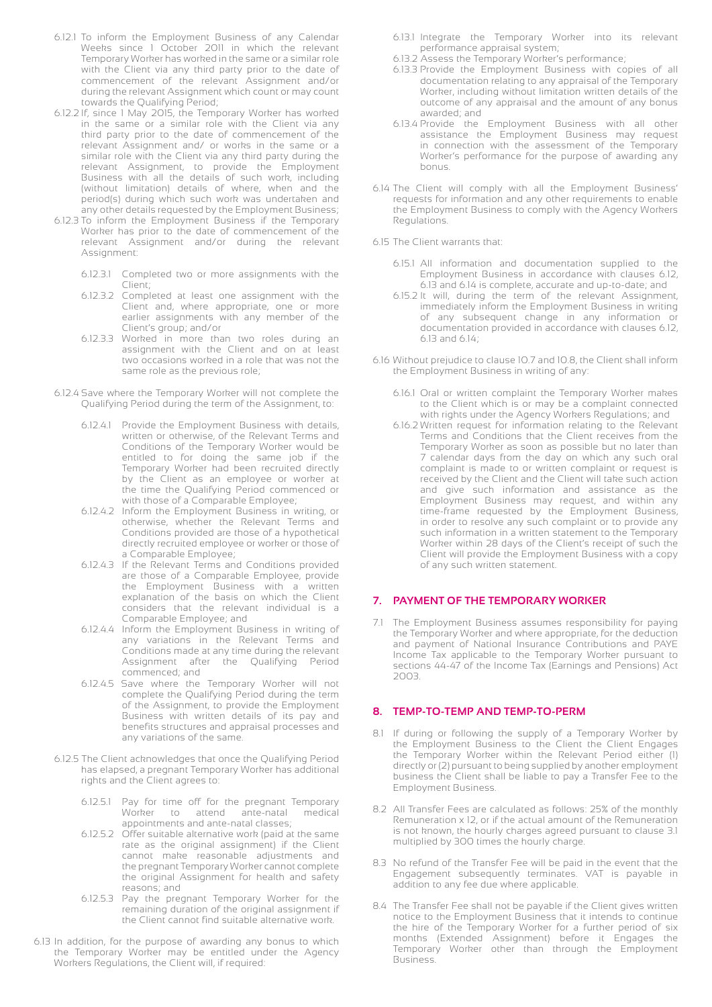- 6.12.1 To inform the Employment Business of any Calendar Weeks since 1 October 2011 in which the relevant Temporary Worker has worked in the same or a similar role with the Client via any third party prior to the date of commencement of the relevant Assignment and/or during the relevant Assignment which count or may count towards the Qualifying Period;
- 6.12.2 If, since 1 May 2015, the Temporary Worker has worked in the same or a similar role with the Client via any third party prior to the date of commencement of the relevant Assignment and/ or works in the same or a similar role with the Client via any third party during the relevant Assignment, to provide the Employment Business with all the details of such work, including (without limitation) details of where, when and the period(s) during which such work was undertaken and any other details requested by the Employment Business;
- 6.12.3 To inform the Employment Business if the Temporary Worker has prior to the date of commencement of the relevant Assignment and/or during the relevant Assignment:
	- 6.12.3.1 Completed two or more assignments with the Client;
	- 6.12.3.2 Completed at least one assignment with the Client and, where appropriate, one or more earlier assignments with any member of the Client's group; and/or
	- 6.12.3.3 Worked in more than two roles during an assignment with the Client and on at least two occasions worked in a role that was not the same role as the previous role;
- 6.12.4 Save where the Temporary Worker will not complete the Qualifying Period during the term of the Assignment, to:
- 6.12.4.1 Provide the Employment Business with details, written or otherwise, of the Relevant Terms and Conditions of the Temporary Worker would be entitled to for doing the same job if the Temporary Worker had been recruited directly by the Client as an employee or worker at the time the Qualifying Period commenced or with those of a Comparable Employee;
	- 6.12.4.2 Inform the Employment Business in writing, or otherwise, whether the Relevant Terms and Conditions provided are those of a hypothetical directly recruited employee or worker or those of a Comparable Employee;
	- 6.12.4.3 If the Relevant Terms and Conditions provided are those of a Comparable Employee, provide the Employment Business with a written explanation of the basis on which the Client considers that the relevant individual is a Comparable Employee; and
	- 6.12.4.4 Inform the Employment Business in writing of any variations in the Relevant Terms and Conditions made at any time during the relevant Assignment after the Qualifying Period commenced; and
	- 6.12.4.5 Save where the Temporary Worker will not complete the Qualifying Period during the term of the Assignment, to provide the Employment Business with written details of its pay and benefits structures and appraisal processes and any variations of the same.
	- 6.12.5 The Client acknowledges that once the Qualifying Period has elapsed, a pregnant Temporary Worker has additional rights and the Client agrees to:
		- 6.12.5.1 Pay for time off for the pregnant Temporary Worker to attend ante-natal medical appointments and ante-natal classes;
		- 6.12.5.2 Offer suitable alternative work (paid at the same rate as the original assignment) if the Client cannot make reasonable adjustments and the pregnant Temporary Worker cannot complete the original Assignment for health and safety reasons; and
		- 6.12.5.3 Pay the pregnant Temporary Worker for the remaining duration of the original assignment if the Client cannot find suitable alternative work.
- 6.13 In addition, for the purpose of awarding any bonus to which the Temporary Worker may be entitled under the Agency Workers Regulations, the Client will, if required:
- 6.13.1 Integrate the Temporary Worker into its relevant performance appraisal system;
- 6.13.2 Assess the Temporary Worker's performance;
- 6.13.3 Provide the Employment Business with copies of all documentation relating to any appraisal of the Temporary Worker, including without limitation written details of the outcome of any appraisal and the amount of any bonus awarded; and
- 6.13.4 Provide the Employment Business with all other assistance the Employment Business may request in connection with the assessment of the Temporary Worker's performance for the purpose of awarding any bonus.
- 6.14 The Client will comply with all the Employment Business' requests for information and any other requirements to enable the Employment Business to comply with the Agency Workers Regulations.
- 6.15 The Client warrants that:
	- 6.15.1 All information and documentation supplied to the Employment Business in accordance with clauses 6.12, 6.13 and 6.14 is complete, accurate and up-to-date; and
	- 6.15.2 It will, during the term of the relevant Assignment, immediately inform the Employment Business in writing of any subsequent change in any information or documentation provided in accordance with clauses 6.12, 6.13 and 6.14;
- 6.16 Without prejudice to clause 10.7 and 10.8, the Client shall inform the Employment Business in writing of any:
	- 6.16.1 Oral or written complaint the Temporary Worker makes to the Client which is or may be a complaint connected with rights under the Agency Workers Regulations; and
- 6.16.2 Written request for information relating to the Relevant Terms and Conditions that the Client receives from the Temporary Worker as soon as possible but no later than 7 calendar days from the day on which any such oral complaint is made to or written complaint or request is received by the Client and the Client will take such action and give such information and assistance as the Employment Business may request, and within any time-frame requested by the Employment Business, in order to resolve any such complaint or to provide any such information in a written statement to the Temporary Worker within 28 days of the Client's receipt of such the Client will provide the Employment Business with a copy of any such written statement.

# **7. PAYMENT OF THE TEMPORARY WORKER**

7.1 The Employment Business assumes responsibility for paying the Temporary Worker and where appropriate, for the deduction and payment of National Insurance Contributions and PAYE Income Tax applicable to the Temporary Worker pursuant to sections 44-47 of the Income Tax (Earnings and Pensions) Act 2003.

# **8. TEMP-TO-TEMP AND TEMP-TO-PERM**

- 8.1 If during or following the supply of a Temporary Worker by the Employment Business to the Client the Client Engages the Temporary Worker within the Relevant Period either (1) directly or (2) pursuant to being supplied by another employment business the Client shall be liable to pay a Transfer Fee to the Employment Business.
- 8.2 All Transfer Fees are calculated as follows: 25% of the monthly Remuneration x 12, or if the actual amount of the Remuneration is not known, the hourly charges agreed pursuant to clause 3.1 multiplied by 300 times the hourly charge.
- 8.3 No refund of the Transfer Fee will be paid in the event that the Engagement subsequently terminates. VAT is payable in addition to any fee due where applicable.
- 8.4 The Transfer Fee shall not be payable if the Client gives written notice to the Employment Business that it intends to continue the hire of the Temporary Worker for a further period of six months (Extended Assignment) before it Engages the Temporary Worker other than through the Employment Business.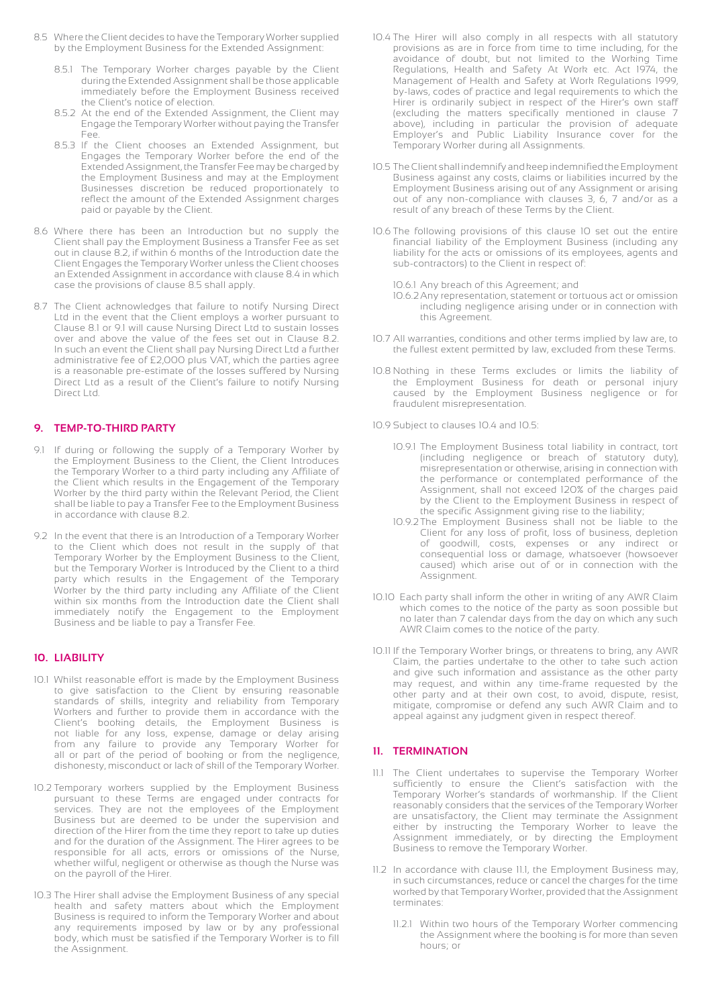- 8.5 Where the Client decides to have the Temporary Worker supplied by the Employment Business for the Extended Assignment:
	- 8.5.1 The Temporary Worker charges payable by the Client during the Extended Assignment shall be those applicable immediately before the Employment Business received the Client's notice of election.
	- 8.5.2 At the end of the Extended Assignment, the Client may Engage the Temporary Worker without paying the Transfer Fee.
	- 8.5.3 If the Client chooses an Extended Assignment, but Engages the Temporary Worker before the end of the Extended Assignment, the Transfer Fee may be charged by the Employment Business and may at the Employment Businesses discretion be reduced proportionately to reflect the amount of the Extended Assignment charges paid or payable by the Client.
- 8.6 Where there has been an Introduction but no supply the Client shall pay the Employment Business a Transfer Fee as set out in clause 8.2, if within 6 months of the Introduction date the Client Engages the Temporary Worker unless the Client chooses an Extended Assignment in accordance with clause 8.4 in which case the provisions of clause 8.5 shall apply.
- 8.7 The Client acknowledges that failure to notify Nursing Direct Ltd in the event that the Client employs a worker pursuant to Clause 8.1 or 9.1 will cause Nursing Direct Ltd to sustain losses over and above the value of the fees set out in Clause 8.2. In such an event the Client shall pay Nursing Direct Ltd a further administrative fee of £2,000 plus VAT, which the parties agree is a reasonable pre-estimate of the losses suffered by Nursing Direct Ltd as a result of the Client's failure to notify Nursing Direct Ltd.

# **9. TEMP-TO-THIRD PARTY**

- 9.1 If during or following the supply of a Temporary Worker by the Employment Business to the Client, the Client Introduces the Temporary Worker to a third party including any Affiliate of the Client which results in the Engagement of the Temporary Worker by the third party within the Relevant Period, the Client shall be liable to pay a Transfer Fee to the Employment Business in accordance with clause 8.2.
- 9.2 In the event that there is an Introduction of a Temporary Worker to the Client which does not result in the supply of that Temporary Worker by the Employment Business to the Client, but the Temporary Worker is Introduced by the Client to a third party which results in the Engagement of the Temporary Worker by the third party including any Affiliate of the Client within six months from the Introduction date the Client shall immediately notify the Engagement to the Employment Business and be liable to pay a Transfer Fee.

# **10. LIABILITY**

- 10.1 Whilst reasonable effort is made by the Employment Business to give satisfaction to the Client by ensuring reasonable standards of skills, integrity and reliability from Temporary Workers and further to provide them in accordance with the Client's booking details, the Employment Business is not liable for any loss, expense, damage or delay arising from any failure to provide any Temporary Worker for all or part of the period of booking or from the negligence, dishonesty, misconduct or lack of skill of the Temporary Worker.
- 10.2 Temporary workers supplied by the Employment Business pursuant to these Terms are engaged under contracts for services. They are not the employees of the Employment Business but are deemed to be under the supervision and direction of the Hirer from the time they report to take up duties and for the duration of the Assignment. The Hirer agrees to be responsible for all acts, errors or omissions of the Nurse, whether wilful, negligent or otherwise as though the Nurse was on the payroll of the Hirer.
- 10.3 The Hirer shall advise the Employment Business of any special health and safety matters about which the Employment Business is required to inform the Temporary Worker and about any requirements imposed by law or by any professional body, which must be satisfied if the Temporary Worker is to fill the Assignment.
- 10.4 The Hirer will also comply in all respects with all statutory provisions as are in force from time to time including, for the avoidance of doubt, but not limited to the Working Time Regulations, Health and Safety At Work etc. Act 1974, the Management of Health and Safety at Work Regulations 1999, by-laws, codes of practice and legal requirements to which the Hirer is ordinarily subject in respect of the Hirer's own staff (excluding the matters specifically mentioned in clause 7 above), including in particular the provision of adequate Employer's and Public Liability Insurance cover for the Temporary Worker during all Assignments.
- 10.5 The Client shall indemnify and keep indemnified the Employment Business against any costs, claims or liabilities incurred by the Employment Business arising out of any Assignment or arising out of any non-compliance with clauses 3, 6, 7 and/or as a result of any breach of these Terms by the Client.
- 10.6 The following provisions of this clause 10 set out the entire financial liability of the Employment Business (including any liability for the acts or omissions of its employees, agents and sub-contractors) to the Client in respect of:
	- 10.6.1 Any breach of this Agreement; and
	- 10.6.2Any representation, statement or tortuous act or omission including negligence arising under or in connection with this Agreement.
- 10.7 All warranties, conditions and other terms implied by law are, to the fullest extent permitted by law, excluded from these Terms.
- 10.8 Nothing in these Terms excludes or limits the liability of the Employment Business for death or personal injury caused by the Employment Business negligence or for fraudulent misrepresentation.
- 10.9 Subject to clauses 10.4 and 10.5:
	- 10.9.1 The Employment Business total liability in contract, tort (including negligence or breach of statutory duty), misrepresentation or otherwise, arising in connection with the performance or contemplated performance of the Assignment, shall not exceed 120% of the charges paid by the Client to the Employment Business in respect of the specific Assignment giving rise to the liability;
	- 10.9.2The Employment Business shall not be liable to the Client for any loss of profit, loss of business, depletion of goodwill, costs, expenses or any indirect or consequential loss or damage, whatsoever (howsoever caused) which arise out of or in connection with the Assignment.
- 10.10 Each party shall inform the other in writing of any AWR Claim which comes to the notice of the party as soon possible but no later than 7 calendar days from the day on which any such AWR Claim comes to the notice of the party.
- 10.11 If the Temporary Worker brings, or threatens to bring, any AWR Claim, the parties undertake to the other to take such action and give such information and assistance as the other party may request, and within any time-frame requested by the other party and at their own cost, to avoid, dispute, resist, mitigate, compromise or defend any such AWR Claim and to appeal against any judgment given in respect thereof.

# **11. TERMINATION**

- 11.1 The Client undertakes to supervise the Temporary Worker sufficiently to ensure the Client's satisfaction with the Temporary Worker's standards of workmanship. If the Client reasonably considers that the services of the Temporary Worker are unsatisfactory, the Client may terminate the Assignment either by instructing the Temporary Worker to leave the Assignment immediately, or by directing the Employment Business to remove the Temporary Worker.
- 11.2 In accordance with clause 11.1, the Employment Business may, in such circumstances, reduce or cancel the charges for the time worked by that Temporary Worker, provided that the Assignment terminates:
	- 11.2.1 Within two hours of the Temporary Worker commencing the Assignment where the booking is for more than seven hours; or